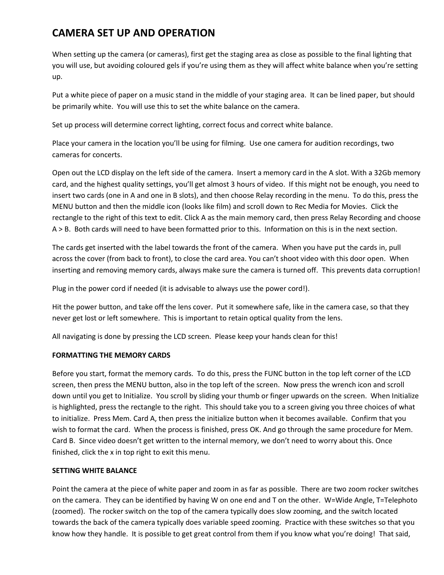## **CAMERA SET UP AND OPERATION**

When setting up the camera (or cameras), first get the staging area as close as possible to the final lighting that you will use, but avoiding coloured gels if you're using them as they will affect white balance when you're setting up.

Put a white piece of paper on a music stand in the middle of your staging area. It can be lined paper, but should be primarily white. You will use this to set the white balance on the camera.

Set up process will determine correct lighting, correct focus and correct white balance.

Place your camera in the location you'll be using for filming. Use one camera for audition recordings, two cameras for concerts.

Open out the LCD display on the left side of the camera. Insert a memory card in the A slot. With a 32Gb memory card, and the highest quality settings, you'll get almost 3 hours of video. If this might not be enough, you need to insert two cards (one in A and one in B slots), and then choose Relay recording in the menu. To do this, press the MENU button and then the middle icon (looks like film) and scroll down to Rec Media for Movies. Click the rectangle to the right of this text to edit. Click A as the main memory card, then press Relay Recording and choose A > B. Both cards will need to have been formatted prior to this. Information on this is in the next section.

The cards get inserted with the label towards the front of the camera. When you have put the cards in, pull across the cover (from back to front), to close the card area. You can't shoot video with this door open. When inserting and removing memory cards, always make sure the camera is turned off. This prevents data corruption!

Plug in the power cord if needed (it is advisable to always use the power cord!).

Hit the power button, and take off the lens cover. Put it somewhere safe, like in the camera case, so that they never get lost or left somewhere. This is important to retain optical quality from the lens.

All navigating is done by pressing the LCD screen. Please keep your hands clean for this!

### **FORMATTING THE MEMORY CARDS**

Before you start, format the memory cards. To do this, press the FUNC button in the top left corner of the LCD screen, then press the MENU button, also in the top left of the screen. Now press the wrench icon and scroll down until you get to Initialize. You scroll by sliding your thumb or finger upwards on the screen. When Initialize is highlighted, press the rectangle to the right. This should take you to a screen giving you three choices of what to initialize. Press Mem. Card A, then press the initialize button when it becomes available. Confirm that you wish to format the card. When the process is finished, press OK. And go through the same procedure for Mem. Card B. Since video doesn't get written to the internal memory, we don't need to worry about this. Once finished, click the x in top right to exit this menu.

### **SETTING WHITE BALANCE**

Point the camera at the piece of white paper and zoom in as far as possible. There are two zoom rocker switches on the camera. They can be identified by having W on one end and T on the other. W=Wide Angle, T=Telephoto (zoomed). The rocker switch on the top of the camera typically does slow zooming, and the switch located towards the back of the camera typically does variable speed zooming. Practice with these switches so that you know how they handle. It is possible to get great control from them if you know what you're doing! That said,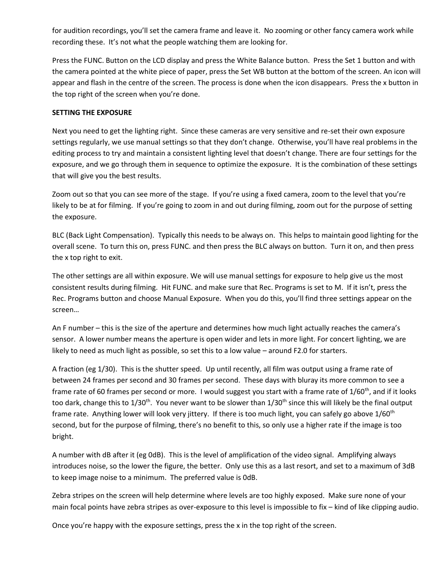for audition recordings, you'll set the camera frame and leave it. No zooming or other fancy camera work while recording these. It's not what the people watching them are looking for.

Press the FUNC. Button on the LCD display and press the White Balance button. Press the Set 1 button and with the camera pointed at the white piece of paper, press the Set WB button at the bottom of the screen. An icon will appear and flash in the centre of the screen. The process is done when the icon disappears. Press the x button in the top right of the screen when you're done.

#### **SETTING THE EXPOSURE**

Next you need to get the lighting right. Since these cameras are very sensitive and re-set their own exposure settings regularly, we use manual settings so that they don't change. Otherwise, you'll have real problems in the editing process to try and maintain a consistent lighting level that doesn't change. There are four settings for the exposure, and we go through them in sequence to optimize the exposure. It is the combination of these settings that will give you the best results.

Zoom out so that you can see more of the stage. If you're using a fixed camera, zoom to the level that you're likely to be at for filming. If you're going to zoom in and out during filming, zoom out for the purpose of setting the exposure.

BLC (Back Light Compensation). Typically this needs to be always on. This helps to maintain good lighting for the overall scene. To turn this on, press FUNC. and then press the BLC always on button. Turn it on, and then press the x top right to exit.

The other settings are all within exposure. We will use manual settings for exposure to help give us the most consistent results during filming. Hit FUNC. and make sure that Rec. Programs is set to M. If it isn't, press the Rec. Programs button and choose Manual Exposure. When you do this, you'll find three settings appear on the screen…

An F number – this is the size of the aperture and determines how much light actually reaches the camera's sensor. A lower number means the aperture is open wider and lets in more light. For concert lighting, we are likely to need as much light as possible, so set this to a low value – around F2.0 for starters.

A fraction (eg 1/30). This is the shutter speed. Up until recently, all film was output using a frame rate of between 24 frames per second and 30 frames per second. These days with bluray its more common to see a frame rate of 60 frames per second or more. I would suggest you start with a frame rate of 1/60<sup>th</sup>, and if it looks too dark, change this to  $1/30^{th}$ . You never want to be slower than  $1/30^{th}$  since this will likely be the final output frame rate. Anything lower will look very jittery. If there is too much light, you can safely go above 1/60<sup>th</sup> second, but for the purpose of filming, there's no benefit to this, so only use a higher rate if the image is too bright.

A number with dB after it (eg 0dB). This is the level of amplification of the video signal. Amplifying always introduces noise, so the lower the figure, the better. Only use this as a last resort, and set to a maximum of 3dB to keep image noise to a minimum. The preferred value is 0dB.

Zebra stripes on the screen will help determine where levels are too highly exposed. Make sure none of your main focal points have zebra stripes as over-exposure to this level is impossible to fix – kind of like clipping audio.

Once you're happy with the exposure settings, press the x in the top right of the screen.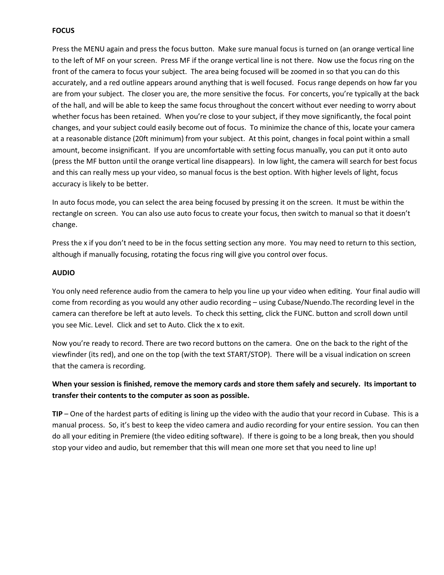### **FOCUS**

Press the MENU again and press the focus button. Make sure manual focus is turned on (an orange vertical line to the left of MF on your screen. Press MF if the orange vertical line is not there. Now use the focus ring on the front of the camera to focus your subject. The area being focused will be zoomed in so that you can do this accurately, and a red outline appears around anything that is well focused. Focus range depends on how far you are from your subject. The closer you are, the more sensitive the focus. For concerts, you're typically at the back of the hall, and will be able to keep the same focus throughout the concert without ever needing to worry about whether focus has been retained. When you're close to your subject, if they move significantly, the focal point changes, and your subject could easily become out of focus. To minimize the chance of this, locate your camera at a reasonable distance (20ft minimum) from your subject. At this point, changes in focal point within a small amount, become insignificant. If you are uncomfortable with setting focus manually, you can put it onto auto (press the MF button until the orange vertical line disappears). In low light, the camera will search for best focus and this can really mess up your video, so manual focus is the best option. With higher levels of light, focus accuracy is likely to be better.

In auto focus mode, you can select the area being focused by pressing it on the screen. It must be within the rectangle on screen. You can also use auto focus to create your focus, then switch to manual so that it doesn't change.

Press the x if you don't need to be in the focus setting section any more. You may need to return to this section, although if manually focusing, rotating the focus ring will give you control over focus.

#### **AUDIO**

You only need reference audio from the camera to help you line up your video when editing. Your final audio will come from recording as you would any other audio recording – using Cubase/Nuendo.The recording level in the camera can therefore be left at auto levels. To check this setting, click the FUNC. button and scroll down until you see Mic. Level. Click and set to Auto. Click the x to exit.

Now you're ready to record. There are two record buttons on the camera. One on the back to the right of the viewfinder (its red), and one on the top (with the text START/STOP). There will be a visual indication on screen that the camera is recording.

### **When your session is finished, remove the memory cards and store them safely and securely. Its important to transfer their contents to the computer as soon as possible.**

**TIP** – One of the hardest parts of editing is lining up the video with the audio that your record in Cubase. This is a manual process. So, it's best to keep the video camera and audio recording for your entire session. You can then do all your editing in Premiere (the video editing software). If there is going to be a long break, then you should stop your video and audio, but remember that this will mean one more set that you need to line up!